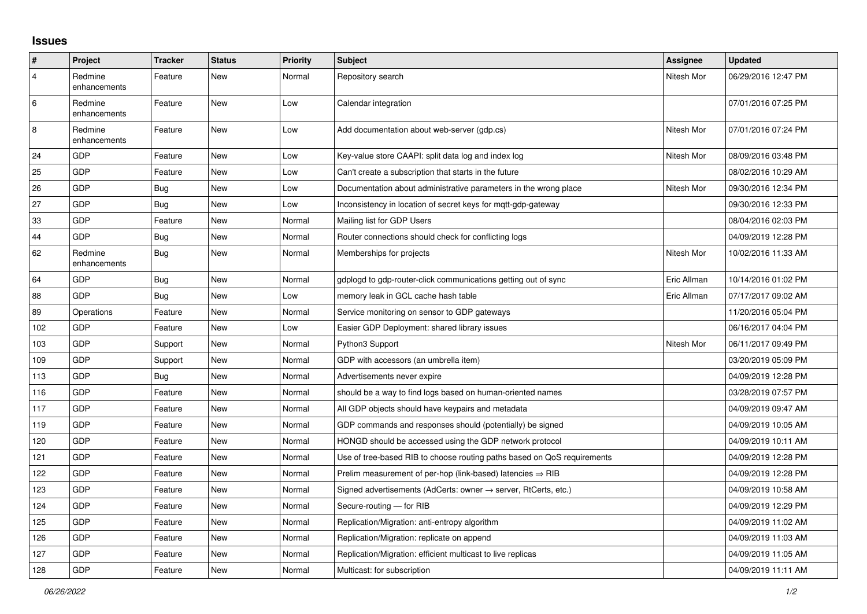## **Issues**

| $\sharp$       | Project                 | <b>Tracker</b> | <b>Status</b> | <b>Priority</b> | <b>Subject</b>                                                             | Assignee    | <b>Updated</b>      |
|----------------|-------------------------|----------------|---------------|-----------------|----------------------------------------------------------------------------|-------------|---------------------|
| $\overline{4}$ | Redmine<br>enhancements | Feature        | <b>New</b>    | Normal          | Repository search                                                          | Nitesh Mor  | 06/29/2016 12:47 PM |
| $\,6\,$        | Redmine<br>enhancements | Feature        | New           | Low             | Calendar integration                                                       |             | 07/01/2016 07:25 PM |
| $\,8\,$        | Redmine<br>enhancements | Feature        | <b>New</b>    | Low             | Add documentation about web-server (gdp.cs)                                | Nitesh Mor  | 07/01/2016 07:24 PM |
| 24             | GDP                     | Feature        | <b>New</b>    | Low             | Key-value store CAAPI: split data log and index log                        | Nitesh Mor  | 08/09/2016 03:48 PM |
| 25             | GDP                     | Feature        | <b>New</b>    | Low             | Can't create a subscription that starts in the future                      |             | 08/02/2016 10:29 AM |
| 26             | <b>GDP</b>              | <b>Bug</b>     | <b>New</b>    | Low             | Documentation about administrative parameters in the wrong place           | Nitesh Mor  | 09/30/2016 12:34 PM |
| 27             | GDP                     | <b>Bug</b>     | <b>New</b>    | Low             | Inconsistency in location of secret keys for mqtt-gdp-gateway              |             | 09/30/2016 12:33 PM |
| 33             | GDP                     | Feature        | <b>New</b>    | Normal          | Mailing list for GDP Users                                                 |             | 08/04/2016 02:03 PM |
| 44             | <b>GDP</b>              | <b>Bug</b>     | <b>New</b>    | Normal          | Router connections should check for conflicting logs                       |             | 04/09/2019 12:28 PM |
| 62             | Redmine<br>enhancements | Bug            | <b>New</b>    | Normal          | Memberships for projects                                                   | Nitesh Mor  | 10/02/2016 11:33 AM |
| 64             | <b>GDP</b>              | <b>Bug</b>     | <b>New</b>    | Normal          | gdplogd to gdp-router-click communications getting out of sync             | Eric Allman | 10/14/2016 01:02 PM |
| 88             | <b>GDP</b>              | <b>Bug</b>     | <b>New</b>    | Low             | memory leak in GCL cache hash table                                        | Eric Allman | 07/17/2017 09:02 AM |
| 89             | Operations              | Feature        | <b>New</b>    | Normal          | Service monitoring on sensor to GDP gateways                               |             | 11/20/2016 05:04 PM |
| 102            | <b>GDP</b>              | Feature        | <b>New</b>    | Low             | Easier GDP Deployment: shared library issues                               |             | 06/16/2017 04:04 PM |
| 103            | GDP                     | Support        | <b>New</b>    | Normal          | Python3 Support                                                            | Nitesh Mor  | 06/11/2017 09:49 PM |
| 109            | <b>GDP</b>              | Support        | <b>New</b>    | Normal          | GDP with accessors (an umbrella item)                                      |             | 03/20/2019 05:09 PM |
| 113            | <b>GDP</b>              | Bug            | <b>New</b>    | Normal          | Advertisements never expire                                                |             | 04/09/2019 12:28 PM |
| 116            | GDP                     | Feature        | <b>New</b>    | Normal          | should be a way to find logs based on human-oriented names                 |             | 03/28/2019 07:57 PM |
| 117            | <b>GDP</b>              | Feature        | <b>New</b>    | Normal          | All GDP objects should have keypairs and metadata                          |             | 04/09/2019 09:47 AM |
| 119            | GDP                     | Feature        | <b>New</b>    | Normal          | GDP commands and responses should (potentially) be signed                  |             | 04/09/2019 10:05 AM |
| 120            | <b>GDP</b>              | Feature        | <b>New</b>    | Normal          | HONGD should be accessed using the GDP network protocol                    |             | 04/09/2019 10:11 AM |
| 121            | GDP                     | Feature        | <b>New</b>    | Normal          | Use of tree-based RIB to choose routing paths based on QoS requirements    |             | 04/09/2019 12:28 PM |
| 122            | GDP                     | Feature        | <b>New</b>    | Normal          | Prelim measurement of per-hop (link-based) latencies $\Rightarrow$ RIB     |             | 04/09/2019 12:28 PM |
| 123            | <b>GDP</b>              | Feature        | <b>New</b>    | Normal          | Signed advertisements (AdCerts: owner $\rightarrow$ server, RtCerts, etc.) |             | 04/09/2019 10:58 AM |
| 124            | GDP                     | Feature        | <b>New</b>    | Normal          | Secure-routing - for RIB                                                   |             | 04/09/2019 12:29 PM |
| 125            | <b>GDP</b>              | Feature        | <b>New</b>    | Normal          | Replication/Migration: anti-entropy algorithm                              |             | 04/09/2019 11:02 AM |
| 126            | <b>GDP</b>              | Feature        | <b>New</b>    | Normal          | Replication/Migration: replicate on append                                 |             | 04/09/2019 11:03 AM |
| 127            | GDP                     | Feature        | <b>New</b>    | Normal          | Replication/Migration: efficient multicast to live replicas                |             | 04/09/2019 11:05 AM |
| 128            | <b>GDP</b>              | Feature        | <b>New</b>    | Normal          | Multicast: for subscription                                                |             | 04/09/2019 11:11 AM |